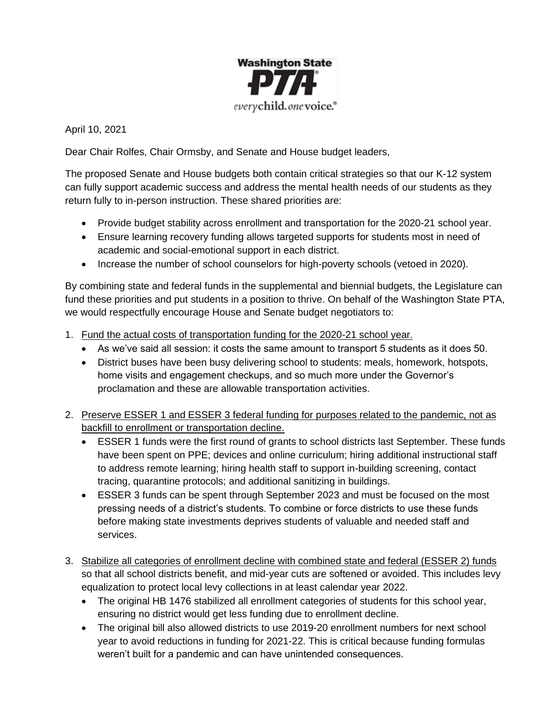

April 10, 2021

Dear Chair Rolfes, Chair Ormsby, and Senate and House budget leaders,

The proposed Senate and House budgets both contain critical strategies so that our K-12 system can fully support academic success and address the mental health needs of our students as they return fully to in-person instruction. These shared priorities are:

- Provide budget stability across enrollment and transportation for the 2020-21 school year.
- Ensure learning recovery funding allows targeted supports for students most in need of academic and social-emotional support in each district.
- Increase the number of school counselors for high-poverty schools (vetoed in 2020).

By combining state and federal funds in the supplemental and biennial budgets, the Legislature can fund these priorities and put students in a position to thrive. On behalf of the Washington State PTA, we would respectfully encourage House and Senate budget negotiators to:

- 1. Fund the actual costs of transportation funding for the 2020-21 school year.
	- As we've said all session: it costs the same amount to transport 5 students as it does 50.
	- District buses have been busy delivering school to students: meals, homework, hotspots, home visits and engagement checkups, and so much more under the Governor's proclamation and these are allowable transportation activities.
- 2. Preserve ESSER 1 and ESSER 3 federal funding for purposes related to the pandemic, not as backfill to enrollment or transportation decline.
	- ESSER 1 funds were the first round of grants to school districts last September. These funds have been spent on PPE; devices and online curriculum; hiring additional instructional staff to address remote learning; hiring health staff to support in-building screening, contact tracing, quarantine protocols; and additional sanitizing in buildings.
	- ESSER 3 funds can be spent through September 2023 and must be focused on the most pressing needs of a district's students. To combine or force districts to use these funds before making state investments deprives students of valuable and needed staff and services.
- 3. Stabilize all categories of enrollment decline with combined state and federal (ESSER 2) funds so that all school districts benefit, and mid-year cuts are softened or avoided. This includes levy equalization to protect local levy collections in at least calendar year 2022.
	- The original HB 1476 stabilized all enrollment categories of students for this school year, ensuring no district would get less funding due to enrollment decline.
	- The original bill also allowed districts to use 2019-20 enrollment numbers for next school year to avoid reductions in funding for 2021-22. This is critical because funding formulas weren't built for a pandemic and can have unintended consequences.